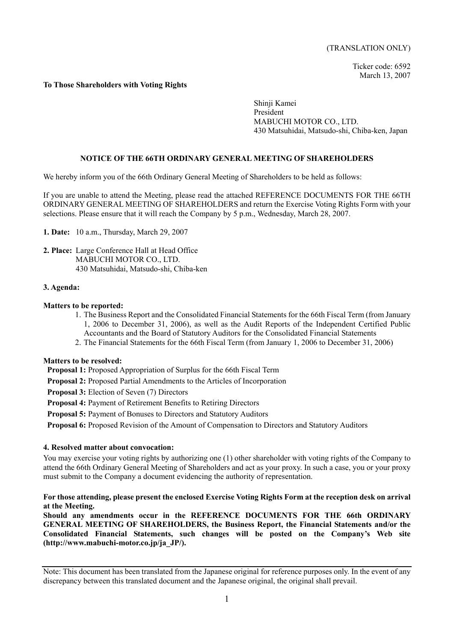Ticker code: 6592 March 13, 2007

### **To Those Shareholders with Voting Rights**

Shinji Kamei President MABUCHI MOTOR CO., LTD. 430 Matsuhidai, Matsudo-shi, Chiba-ken, Japan

# **NOTICE OF THE 66TH ORDINARY GENERAL MEETING OF SHAREHOLDERS**

We hereby inform you of the 66th Ordinary General Meeting of Shareholders to be held as follows:

If you are unable to attend the Meeting, please read the attached REFERENCE DOCUMENTS FOR THE 66TH ORDINARY GENERAL MEETING OF SHAREHOLDERS and return the Exercise Voting Rights Form with your selections. Please ensure that it will reach the Company by 5 p.m., Wednesday, March 28, 2007.

**1. Date:** 10 a.m., Thursday, March 29, 2007

**2. Place:** Large Conference Hall at Head Office MABUCHI MOTOR CO., LTD. 430 Matsuhidai, Matsudo-shi, Chiba-ken

#### **3. Agenda:**

#### **Matters to be reported:**

- 1. The Business Report and the Consolidated Financial Statements for the 66th Fiscal Term (from January 1, 2006 to December 31, 2006), as well as the Audit Reports of the Independent Certified Public Accountants and the Board of Statutory Auditors for the Consolidated Financial Statements
- 2. The Financial Statements for the 66th Fiscal Term (from January 1, 2006 to December 31, 2006)

#### **Matters to be resolved:**

 **Proposal 1:** Proposed Appropriation of Surplus for the 66th Fiscal Term

- **Proposal 2:** Proposed Partial Amendments to the Articles of Incorporation
- **Proposal 3:** Election of Seven (7) Directors
- **Proposal 4:** Payment of Retirement Benefits to Retiring Directors
- **Proposal 5: Payment of Bonuses to Directors and Statutory Auditors**

**Proposal 6:** Proposed Revision of the Amount of Compensation to Directors and Statutory Auditors

#### **4. Resolved matter about convocation:**

You may exercise your voting rights by authorizing one (1) other shareholder with voting rights of the Company to attend the 66th Ordinary General Meeting of Shareholders and act as your proxy. In such a case, you or your proxy must submit to the Company a document evidencing the authority of representation.

# **For those attending, please present the enclosed Exercise Voting Rights Form at the reception desk on arrival at the Meeting.**

**Should any amendments occur in the REFERENCE DOCUMENTS FOR THE 66th ORDINARY GENERAL MEETING OF SHAREHOLDERS, the Business Report, the Financial Statements and/or the Consolidated Financial Statements, such changes will be posted on the Company's Web site (http://www.mabuchi-motor.co.jp/ja\_JP/).** 

Note: This document has been translated from the Japanese original for reference purposes only. In the event of any discrepancy between this translated document and the Japanese original, the original shall prevail.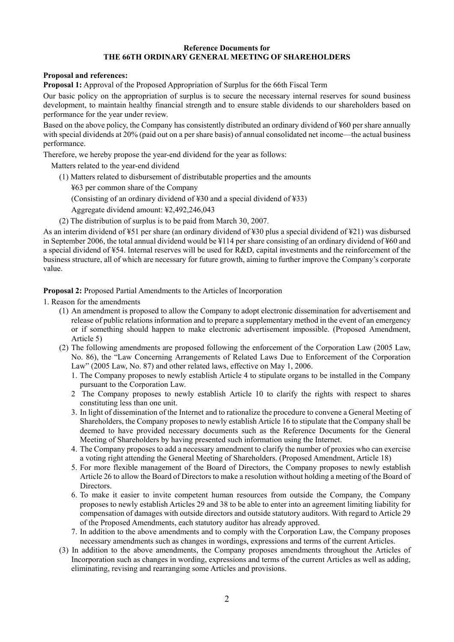# **Reference Documents for THE 66TH ORDINARY GENERAL MEETING OF SHAREHOLDERS**

# **Proposal and references:**

**Proposal 1:** Approval of the Proposed Appropriation of Surplus for the 66th Fiscal Term

Our basic policy on the appropriation of surplus is to secure the necessary internal reserves for sound business development, to maintain healthy financial strength and to ensure stable dividends to our shareholders based on performance for the year under review.

Based on the above policy, the Company has consistently distributed an ordinary dividend of ¥60 per share annually with special dividends at 20% (paid out on a per share basis) of annual consolidated net income—the actual business performance.

Therefore, we hereby propose the year-end dividend for the year as follows:

Matters related to the year-end dividend

- (1) Matters related to disbursement of distributable properties and the amounts
	- ¥63 per common share of the Company
	- (Consisting of an ordinary dividend of  $\angle 30$  and a special dividend of  $\angle 33$ )

Aggregate dividend amount: ¥2,492,246,043

(2) The distribution of surplus is to be paid from March 30, 2007.

As an interim dividend of ¥51 per share (an ordinary dividend of ¥30 plus a special dividend of ¥21) was disbursed in September 2006, the total annual dividend would be ¥114 per share consisting of an ordinary dividend of ¥60 and a special dividend of ¥54. Internal reserves will be used for R&D, capital investments and the reinforcement of the business structure, all of which are necessary for future growth, aiming to further improve the Company's corporate value.

**Proposal 2:** Proposed Partial Amendments to the Articles of Incorporation

1. Reason for the amendments

- (1) An amendment is proposed to allow the Company to adopt electronic dissemination for advertisement and release of public relations information and to prepare a supplementary method in the event of an emergency or if something should happen to make electronic advertisement impossible. (Proposed Amendment, Article 5)
- (2) The following amendments are proposed following the enforcement of the Corporation Law (2005 Law, No. 86), the "Law Concerning Arrangements of Related Laws Due to Enforcement of the Corporation Law" (2005 Law, No. 87) and other related laws, effective on May 1, 2006.
	- 1. The Company proposes to newly establish Article 4 to stipulate organs to be installed in the Company pursuant to the Corporation Law.
	- 2 The Company proposes to newly establish Article 10 to clarify the rights with respect to shares constituting less than one unit.
	- 3. In light of dissemination of the Internet and to rationalize the procedure to convene a General Meeting of Shareholders, the Company proposes to newly establish Article 16 to stipulate that the Company shall be deemed to have provided necessary documents such as the Reference Documents for the General Meeting of Shareholders by having presented such information using the Internet.
	- 4. The Company proposes to add a necessary amendment to clarify the number of proxies who can exercise a voting right attending the General Meeting of Shareholders. (Proposed Amendment, Article 18)
	- 5. For more flexible management of the Board of Directors, the Company proposes to newly establish Article 26 to allow the Board of Directors to make a resolution without holding a meeting of the Board of **Directors**
	- 6. To make it easier to invite competent human resources from outside the Company, the Company proposes to newly establish Articles 29 and 38 to be able to enter into an agreement limiting liability for compensation of damages with outside directors and outside statutory auditors. With regard to Article 29 of the Proposed Amendments, each statutory auditor has already approved.
	- 7. In addition to the above amendments and to comply with the Corporation Law, the Company proposes necessary amendments such as changes in wordings, expressions and terms of the current Articles.
- (3) In addition to the above amendments, the Company proposes amendments throughout the Articles of Incorporation such as changes in wording, expressions and terms of the current Articles as well as adding, eliminating, revising and rearranging some Articles and provisions.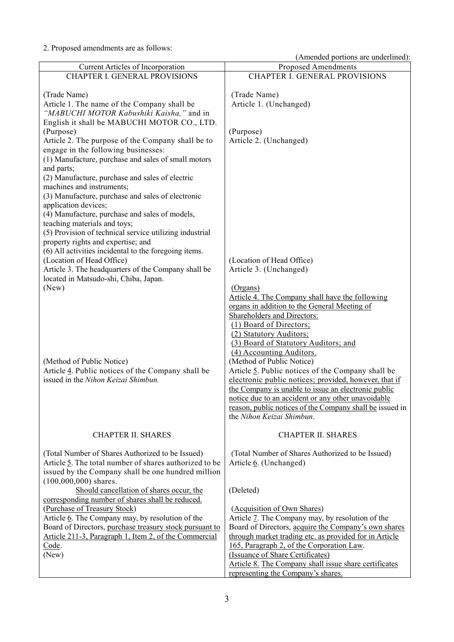2. Proposed amendments are as follows:

| (Amended portions are underlined): |  |
|------------------------------------|--|
|------------------------------------|--|

| Current Articles of Incorporation                                              | <b>Proposed Amendments</b>                               |
|--------------------------------------------------------------------------------|----------------------------------------------------------|
| <b>CHAPTER I. GENERAL PROVISIONS</b>                                           | CHAPTER I. GENERAL PROVISIONS                            |
|                                                                                |                                                          |
| (Trade Name)                                                                   | (Trade Name)                                             |
| Article 1. The name of the Company shall be                                    | Article 1. (Unchanged)                                   |
| "MABUCHI MOTOR Kabushiki Kaisha," and in                                       |                                                          |
| English it shall be MABUCHI MOTOR CO., LTD.                                    |                                                          |
| (Purpose)                                                                      | (Purpose)                                                |
| Article 2. The purpose of the Company shall be to                              | Article 2. (Unchanged)                                   |
| engage in the following businesses:                                            |                                                          |
| (1) Manufacture, purchase and sales of small motors                            |                                                          |
|                                                                                |                                                          |
| and parts;                                                                     |                                                          |
| (2) Manufacture, purchase and sales of electric                                |                                                          |
| machines and instruments;                                                      |                                                          |
| (3) Manufacture, purchase and sales of electronic                              |                                                          |
| application devices;                                                           |                                                          |
| (4) Manufacture, purchase and sales of models,                                 |                                                          |
| teaching materials and toys;                                                   |                                                          |
| (5) Provision of technical service utilizing industrial                        |                                                          |
| property rights and expertise; and                                             |                                                          |
| (6) All activities incidental to the foregoing items.                          |                                                          |
| (Location of Head Office)                                                      | (Location of Head Office)                                |
| Article 3. The headquarters of the Company shall be                            | Article 3. (Unchanged)                                   |
| located in Matsudo-shi, Chiba, Japan.                                          |                                                          |
| (New)                                                                          | (Organs)                                                 |
|                                                                                | Article 4. The Company shall have the following          |
|                                                                                | organs in addition to the General Meeting of             |
|                                                                                | <b>Shareholders and Directors:</b>                       |
|                                                                                | (1) Board of Directors;                                  |
|                                                                                | (2) Statutory Auditors;                                  |
|                                                                                | (3) Board of Statutory Auditors; and                     |
|                                                                                | (4) Accounting Auditors.<br>(Method of Public Notice)    |
| (Method of Public Notice)<br>Article 4. Public notices of the Company shall be | Article 5. Public notices of the Company shall be        |
| issued in the Nihon Keizai Shimbun.                                            | electronic public notices; provided, however, that if    |
|                                                                                | the Company is unable to issue an electronic public      |
|                                                                                | notice due to an accident or any other unavoidable       |
|                                                                                | reason, public notices of the Company shall be issued in |
|                                                                                | the Nihon Keizai Shimbun.                                |
|                                                                                |                                                          |
| <b>CHAPTER II. SHARES</b>                                                      | <b>CHAPTER II. SHARES</b>                                |
|                                                                                |                                                          |
| (Total Number of Shares Authorized to be Issued)                               | (Total Number of Shares Authorized to be Issued)         |
| Article 5. The total number of shares authorized to be                         | Article 6. (Unchanged)                                   |
| issued by the Company shall be one hundred million                             |                                                          |
| $(100,000,000)$ shares.                                                        |                                                          |
| Should cancellation of shares occur, the                                       | (Deleted)                                                |
| corresponding number of shares shall be reduced.                               |                                                          |
| (Purchase of Treasury Stock)                                                   | (Acquisition of Own Shares)                              |
| Article 6. The Company may, by resolution of the                               | Article 7. The Company may, by resolution of the         |
| Board of Directors, purchase treasury stock pursuant to                        | Board of Directors, acquire the Company's own shares     |
| Article 211-3, Paragraph 1, Item 2, of the Commercial                          | through market trading etc. as provided for in Article   |
| Code.                                                                          | 165, Paragraph 2, of the Corporation Law.                |
| (New)                                                                          | (Issuance of Share Certificates)                         |
|                                                                                | Article 8. The Company shall issue share certificates    |
|                                                                                | representing the Company's shares.                       |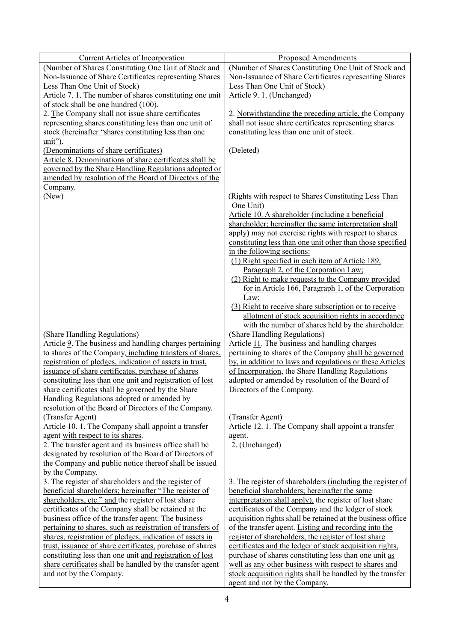| Current Articles of Incorporation                                                                                                              | <b>Proposed Amendments</b>                                                                                                                                                  |
|------------------------------------------------------------------------------------------------------------------------------------------------|-----------------------------------------------------------------------------------------------------------------------------------------------------------------------------|
| (Number of Shares Constituting One Unit of Stock and<br>Non-Issuance of Share Certificates representing Shares<br>Less Than One Unit of Stock) | (Number of Shares Constituting One Unit of Stock and<br>Non-Issuance of Share Certificates representing Shares<br>Less Than One Unit of Stock)<br>Article 9. 1. (Unchanged) |
| Article 7. 1. The number of shares constituting one unit                                                                                       |                                                                                                                                                                             |
| of stock shall be one hundred (100).                                                                                                           |                                                                                                                                                                             |
| 2. The Company shall not issue share certificates                                                                                              | 2. Notwithstanding the preceding article, the Company                                                                                                                       |
| representing shares constituting less than one unit of<br>stock (hereinafter "shares constituting less than one                                | shall not issue share certificates representing shares<br>constituting less than one unit of stock.                                                                         |
| unit").                                                                                                                                        |                                                                                                                                                                             |
| (Denominations of share certificates)                                                                                                          | (Deleted)                                                                                                                                                                   |
| Article 8. Denominations of share certificates shall be                                                                                        |                                                                                                                                                                             |
| governed by the Share Handling Regulations adopted or                                                                                          |                                                                                                                                                                             |
| amended by resolution of the Board of Directors of the                                                                                         |                                                                                                                                                                             |
| Company.                                                                                                                                       |                                                                                                                                                                             |
| (New)                                                                                                                                          | (Rights with respect to Shares Constituting Less Than<br>One Unit)                                                                                                          |
|                                                                                                                                                | Article 10. A shareholder (including a beneficial                                                                                                                           |
|                                                                                                                                                | shareholder; hereinafter the same interpretation shall                                                                                                                      |
|                                                                                                                                                | apply) may not exercise rights with respect to shares                                                                                                                       |
|                                                                                                                                                | constituting less than one unit other than those specified                                                                                                                  |
|                                                                                                                                                | in the following sections:                                                                                                                                                  |
|                                                                                                                                                | (1) Right specified in each item of Article 189,                                                                                                                            |
|                                                                                                                                                | Paragraph 2, of the Corporation Law:                                                                                                                                        |
|                                                                                                                                                | (2) Right to make requests to the Company provided                                                                                                                          |
|                                                                                                                                                | for in Article 166, Paragraph 1, of the Corporation                                                                                                                         |
|                                                                                                                                                | Law;<br>(3) Right to receive share subscription or to receive                                                                                                               |
|                                                                                                                                                | allotment of stock acquisition rights in accordance                                                                                                                         |
|                                                                                                                                                | with the number of shares held by the shareholder.                                                                                                                          |
| (Share Handling Regulations)                                                                                                                   | (Share Handling Regulations)                                                                                                                                                |
| Article 9. The business and handling charges pertaining                                                                                        | Article 11. The business and handling charges                                                                                                                               |
| to shares of the Company, including transfers of shares,                                                                                       | pertaining to shares of the Company shall be governed                                                                                                                       |
| registration of pledges, indication of assets in trust,                                                                                        | by, in addition to laws and regulations or these Articles                                                                                                                   |
| issuance of share certificates, purchase of shares                                                                                             | of Incorporation, the Share Handling Regulations                                                                                                                            |
| constituting less than one unit and registration of lost                                                                                       | adopted or amended by resolution of the Board of                                                                                                                            |
| share certificates shall be governed by the Share                                                                                              | Directors of the Company.                                                                                                                                                   |
| Handling Regulations adopted or amended by                                                                                                     |                                                                                                                                                                             |
| resolution of the Board of Directors of the Company.                                                                                           |                                                                                                                                                                             |
| (Transfer Agent)                                                                                                                               | (Transfer Agent)                                                                                                                                                            |
| Article 10. 1. The Company shall appoint a transfer                                                                                            | Article 12. 1. The Company shall appoint a transfer                                                                                                                         |
| agent with respect to its shares.                                                                                                              | agent.                                                                                                                                                                      |
| 2. The transfer agent and its business office shall be                                                                                         | 2. (Unchanged)                                                                                                                                                              |
| designated by resolution of the Board of Directors of                                                                                          |                                                                                                                                                                             |
| the Company and public notice thereof shall be issued<br>by the Company.                                                                       |                                                                                                                                                                             |
| 3. The register of shareholders and the register of                                                                                            | 3. The register of shareholders (including the register of                                                                                                                  |
| beneficial shareholders; hereinafter "The register of                                                                                          | beneficial shareholders; hereinafter the same                                                                                                                               |
| shareholders, etc." and the register of lost share                                                                                             | interpretation shall apply), the register of lost share                                                                                                                     |
| certificates of the Company shall be retained at the                                                                                           | certificates of the Company and the ledger of stock                                                                                                                         |
| business office of the transfer agent. The business                                                                                            | acquisition rights shall be retained at the business office                                                                                                                 |
| pertaining to shares, such as registration of transfers of                                                                                     | of the transfer agent. Listing and recording into the                                                                                                                       |
| shares, registration of pledges, indication of assets in                                                                                       | register of shareholders, the register of lost share                                                                                                                        |
| trust, issuance of share certificates, purchase of shares                                                                                      | certificates and the ledger of stock acquisition rights,                                                                                                                    |
| constituting less than one unit and registration of lost                                                                                       | purchase of shares constituting less than one unit as                                                                                                                       |
| share certificates shall be handled by the transfer agent                                                                                      | well as any other business with respect to shares and                                                                                                                       |
| and not by the Company.                                                                                                                        | stock acquisition rights shall be handled by the transfer                                                                                                                   |
|                                                                                                                                                | agent and not by the Company.                                                                                                                                               |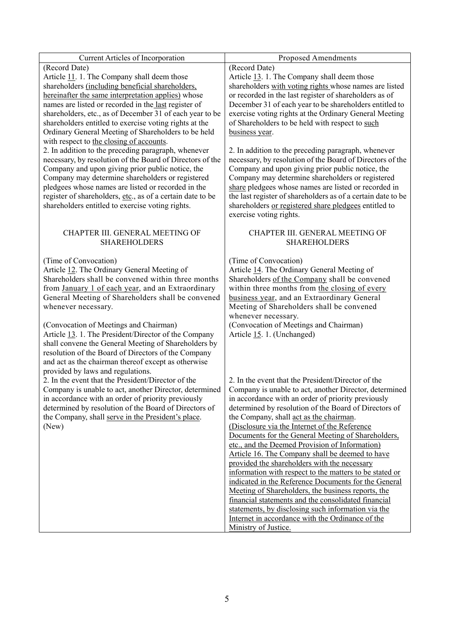| Current Articles of Incorporation                                                                                                                                                                                                                                                                                                                                                                                                                                                                                                   | <b>Proposed Amendments</b>                                                                                                                                                                                                                                                                                                                                                                                                                                                                                                                                                                                                                                                                                                                                                                                                                                                                           |
|-------------------------------------------------------------------------------------------------------------------------------------------------------------------------------------------------------------------------------------------------------------------------------------------------------------------------------------------------------------------------------------------------------------------------------------------------------------------------------------------------------------------------------------|------------------------------------------------------------------------------------------------------------------------------------------------------------------------------------------------------------------------------------------------------------------------------------------------------------------------------------------------------------------------------------------------------------------------------------------------------------------------------------------------------------------------------------------------------------------------------------------------------------------------------------------------------------------------------------------------------------------------------------------------------------------------------------------------------------------------------------------------------------------------------------------------------|
| (Record Date)<br>Article 11. 1. The Company shall deem those<br>shareholders (including beneficial shareholders,<br>hereinafter the same interpretation applies) whose<br>names are listed or recorded in the last register of<br>shareholders, etc., as of December 31 of each year to be<br>shareholders entitled to exercise voting rights at the<br>Ordinary General Meeting of Shareholders to be held<br>with respect to the closing of accounts.                                                                             | (Record Date)<br>Article 13. 1. The Company shall deem those<br>shareholders with voting rights whose names are listed<br>or recorded in the last register of shareholders as of<br>December 31 of each year to be shareholders entitled to<br>exercise voting rights at the Ordinary General Meeting<br>of Shareholders to be held with respect to such<br>business year.                                                                                                                                                                                                                                                                                                                                                                                                                                                                                                                           |
| 2. In addition to the preceding paragraph, whenever<br>necessary, by resolution of the Board of Directors of the<br>Company and upon giving prior public notice, the<br>Company may determine shareholders or registered<br>pledgees whose names are listed or recorded in the<br>register of shareholders, etc., as of a certain date to be<br>shareholders entitled to exercise voting rights.                                                                                                                                    | 2. In addition to the preceding paragraph, whenever<br>necessary, by resolution of the Board of Directors of the<br>Company and upon giving prior public notice, the<br>Company may determine shareholders or registered<br>share pledgees whose names are listed or recorded in<br>the last register of shareholders as of a certain date to be<br>shareholders or registered share pledgees entitled to<br>exercise voting rights.                                                                                                                                                                                                                                                                                                                                                                                                                                                                 |
| CHAPTER III. GENERAL MEETING OF<br><b>SHAREHOLDERS</b>                                                                                                                                                                                                                                                                                                                                                                                                                                                                              | CHAPTER III. GENERAL MEETING OF<br><b>SHAREHOLDERS</b>                                                                                                                                                                                                                                                                                                                                                                                                                                                                                                                                                                                                                                                                                                                                                                                                                                               |
| (Time of Convocation)<br>Article 12. The Ordinary General Meeting of<br>Shareholders shall be convened within three months<br>from January 1 of each year, and an Extraordinary<br>General Meeting of Shareholders shall be convened<br>whenever necessary.<br>(Convocation of Meetings and Chairman)<br>Article 13. 1. The President/Director of the Company<br>shall convene the General Meeting of Shareholders by<br>resolution of the Board of Directors of the Company<br>and act as the chairman thereof except as otherwise | (Time of Convocation)<br>Article 14. The Ordinary General Meeting of<br>Shareholders of the Company shall be convened<br>within three months from the closing of every<br>business year, and an Extraordinary General<br>Meeting of Shareholders shall be convened<br>whenever necessary.<br>(Convocation of Meetings and Chairman)<br>Article 15. 1. (Unchanged)                                                                                                                                                                                                                                                                                                                                                                                                                                                                                                                                    |
| provided by laws and regulations.<br>2. In the event that the President/Director of the<br>Company is unable to act, another Director, determined<br>in accordance with an order of priority previously<br>determined by resolution of the Board of Directors of<br>the Company, shall serve in the President's place.<br>(New)                                                                                                                                                                                                     | 2. In the event that the President/Director of the<br>Company is unable to act, another Director, determined<br>in accordance with an order of priority previously<br>determined by resolution of the Board of Directors of<br>the Company, shall act as the chairman.<br>(Disclosure via the Internet of the Reference<br>Documents for the General Meeting of Shareholders,<br>etc., and the Deemed Provision of Information)<br>Article 16. The Company shall be deemed to have<br>provided the shareholders with the necessary<br>information with respect to the matters to be stated or<br>indicated in the Reference Documents for the General<br>Meeting of Shareholders, the business reports, the<br>financial statements and the consolidated financial<br>statements, by disclosing such information via the<br>Internet in accordance with the Ordinance of the<br>Ministry of Justice. |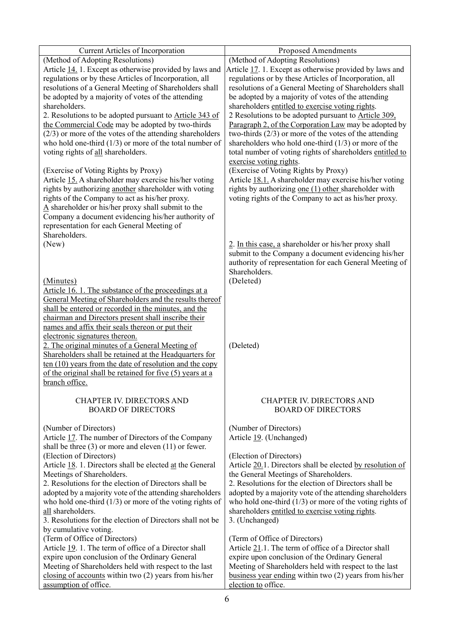| Current Articles of Incorporation                                                                              | <b>Proposed Amendments</b>                                                                                      |
|----------------------------------------------------------------------------------------------------------------|-----------------------------------------------------------------------------------------------------------------|
| (Method of Adopting Resolutions)                                                                               | (Method of Adopting Resolutions)                                                                                |
| Article 14. 1. Except as otherwise provided by laws and                                                        | Article 17. 1. Except as otherwise provided by laws and                                                         |
| regulations or by these Articles of Incorporation, all                                                         | regulations or by these Articles of Incorporation, all                                                          |
| resolutions of a General Meeting of Shareholders shall                                                         | resolutions of a General Meeting of Shareholders shall                                                          |
| be adopted by a majority of votes of the attending                                                             | be adopted by a majority of votes of the attending                                                              |
| shareholders.<br>2. Resolutions to be adopted pursuant to <b>Article 343 of</b>                                | shareholders entitled to exercise voting rights.<br>2 Resolutions to be adopted pursuant to Article 309,        |
| the Commercial Code may be adopted by two-thirds                                                               | Paragraph 2, of the Corporation Law may be adopted by                                                           |
| $(2/3)$ or more of the votes of the attending shareholders                                                     | two-thirds $(2/3)$ or more of the votes of the attending                                                        |
| who hold one-third $(1/3)$ or more of the total number of                                                      | shareholders who hold one-third $(1/3)$ or more of the                                                          |
| voting rights of all shareholders.                                                                             | total number of voting rights of shareholders entitled to                                                       |
|                                                                                                                | exercise voting rights.                                                                                         |
| (Exercise of Voting Rights by Proxy)                                                                           | (Exercise of Voting Rights by Proxy)                                                                            |
| Article 15. A shareholder may exercise his/her voting<br>rights by authorizing another shareholder with voting | Article 18.1. A shareholder may exercise his/her voting<br>rights by authorizing one (1) other shareholder with |
| rights of the Company to act as his/her proxy.                                                                 | voting rights of the Company to act as his/her proxy.                                                           |
| $\overline{A}$ shareholder or his/her proxy shall submit to the                                                |                                                                                                                 |
| Company a document evidencing his/her authority of                                                             |                                                                                                                 |
| representation for each General Meeting of                                                                     |                                                                                                                 |
| Shareholders.                                                                                                  |                                                                                                                 |
| (New)                                                                                                          | 2. In this case, a shareholder or his/her proxy shall                                                           |
|                                                                                                                | submit to the Company a document evidencing his/her<br>authority of representation for each General Meeting of  |
|                                                                                                                | Shareholders.                                                                                                   |
| (Minutes)                                                                                                      | (Deleted)                                                                                                       |
| Article 16. 1. The substance of the proceedings at a                                                           |                                                                                                                 |
| General Meeting of Shareholders and the results thereof                                                        |                                                                                                                 |
| shall be entered or recorded in the minutes, and the                                                           |                                                                                                                 |
| chairman and Directors present shall inscribe their                                                            |                                                                                                                 |
| names and affix their seals thereon or put their<br>electronic signatures thereon.                             |                                                                                                                 |
| 2. The original minutes of a General Meeting of                                                                | (Deleted)                                                                                                       |
| Shareholders shall be retained at the Headquarters for                                                         |                                                                                                                 |
| $ten(10)$ years from the date of resolution and the copy                                                       |                                                                                                                 |
| of the original shall be retained for five (5) years at a                                                      |                                                                                                                 |
| branch office.                                                                                                 |                                                                                                                 |
| CHAPTER IV. DIRECTORS AND                                                                                      | CHAPTER IV. DIRECTORS AND                                                                                       |
| <b>BOARD OF DIRECTORS</b>                                                                                      | <b>BOARD OF DIRECTORS</b>                                                                                       |
|                                                                                                                |                                                                                                                 |
| (Number of Directors)                                                                                          | (Number of Directors)                                                                                           |
| Article 17. The number of Directors of the Company                                                             | Article 19. (Unchanged)                                                                                         |
| shall be three $(3)$ or more and eleven $(11)$ or fewer.<br>(Election of Directors)                            | (Election of Directors)                                                                                         |
| Article 18. 1. Directors shall be elected at the General                                                       | Article 20.1. Directors shall be elected by resolution of                                                       |
| Meetings of Shareholders.                                                                                      | the General Meetings of Shareholders.                                                                           |
| 2. Resolutions for the election of Directors shall be                                                          | 2. Resolutions for the election of Directors shall be                                                           |
| adopted by a majority vote of the attending shareholders                                                       | adopted by a majority vote of the attending shareholders                                                        |
| who hold one-third $(1/3)$ or more of the voting rights of                                                     | who hold one-third $(1/3)$ or more of the voting rights of                                                      |
| all shareholders.                                                                                              | shareholders entitled to exercise voting rights.                                                                |
| 3. Resolutions for the election of Directors shall not be<br>by cumulative voting.                             | 3. (Unchanged)                                                                                                  |
| (Term of Office of Directors)                                                                                  | (Term of Office of Directors)                                                                                   |
| Article 19. 1. The term of office of a Director shall                                                          | Article 21.1. The term of office of a Director shall                                                            |
| expire upon conclusion of the Ordinary General                                                                 | expire upon conclusion of the Ordinary General                                                                  |
| Meeting of Shareholders held with respect to the last                                                          | Meeting of Shareholders held with respect to the last                                                           |
| closing of accounts within two (2) years from his/her                                                          | business year ending within two (2) years from his/her                                                          |
| assumption of office.                                                                                          | election to office.                                                                                             |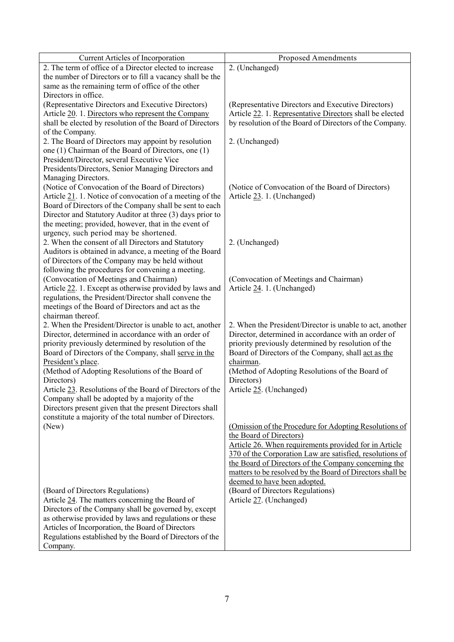| Current Articles of Incorporation                                                                             | <b>Proposed Amendments</b>                                  |
|---------------------------------------------------------------------------------------------------------------|-------------------------------------------------------------|
| 2. The term of office of a Director elected to increase                                                       | 2. (Unchanged)                                              |
| the number of Directors or to fill a vacancy shall be the                                                     |                                                             |
| same as the remaining term of office of the other                                                             |                                                             |
| Directors in office.                                                                                          |                                                             |
| (Representative Directors and Executive Directors)                                                            | (Representative Directors and Executive Directors)          |
| Article 20. 1. Directors who represent the Company                                                            | Article 22. 1. Representative Directors shall be elected    |
| shall be elected by resolution of the Board of Directors                                                      | by resolution of the Board of Directors of the Company.     |
| of the Company.                                                                                               |                                                             |
| 2. The Board of Directors may appoint by resolution                                                           | 2. (Unchanged)                                              |
| one (1) Chairman of the Board of Directors, one (1)                                                           |                                                             |
| President/Director, several Executive Vice                                                                    |                                                             |
| Presidents/Directors, Senior Managing Directors and                                                           |                                                             |
| Managing Directors.                                                                                           |                                                             |
| (Notice of Convocation of the Board of Directors)                                                             | (Notice of Convocation of the Board of Directors)           |
| Article 21. 1. Notice of convocation of a meeting of the                                                      | Article 23. 1. (Unchanged)                                  |
| Board of Directors of the Company shall be sent to each                                                       |                                                             |
| Director and Statutory Auditor at three (3) days prior to                                                     |                                                             |
| the meeting; provided, however, that in the event of                                                          |                                                             |
| urgency, such period may be shortened.                                                                        |                                                             |
| 2. When the consent of all Directors and Statutory<br>Auditors is obtained in advance, a meeting of the Board | 2. (Unchanged)                                              |
| of Directors of the Company may be held without                                                               |                                                             |
| following the procedures for convening a meeting.                                                             |                                                             |
| (Convocation of Meetings and Chairman)                                                                        | (Convocation of Meetings and Chairman)                      |
| Article 22. 1. Except as otherwise provided by laws and                                                       | Article 24. 1. (Unchanged)                                  |
| regulations, the President/Director shall convene the                                                         |                                                             |
| meetings of the Board of Directors and act as the                                                             |                                                             |
| chairman thereof.                                                                                             |                                                             |
| 2. When the President/Director is unable to act, another                                                      | 2. When the President/Director is unable to act, another    |
| Director, determined in accordance with an order of                                                           | Director, determined in accordance with an order of         |
| priority previously determined by resolution of the                                                           | priority previously determined by resolution of the         |
| Board of Directors of the Company, shall serve in the                                                         | Board of Directors of the Company, shall act as the         |
| President's place.                                                                                            | chairman.                                                   |
| (Method of Adopting Resolutions of the Board of                                                               | (Method of Adopting Resolutions of the Board of             |
| Directors)                                                                                                    | Directors)                                                  |
| Article 23. Resolutions of the Board of Directors of the                                                      | Article 25. (Unchanged)                                     |
| Company shall be adopted by a majority of the                                                                 |                                                             |
| Directors present given that the present Directors shall                                                      |                                                             |
| constitute a majority of the total number of Directors.                                                       |                                                             |
| (New)                                                                                                         | (Omission of the Procedure for Adopting Resolutions of      |
|                                                                                                               | the Board of Directors)                                     |
|                                                                                                               | Article 26. When requirements provided for in Article       |
|                                                                                                               | 370 of the Corporation Law are satisfied, resolutions of    |
|                                                                                                               | the Board of Directors of the Company concerning the        |
|                                                                                                               | matters to be resolved by the Board of Directors shall be   |
|                                                                                                               | deemed to have been adopted.                                |
| (Board of Directors Regulations)<br>Article 24. The matters concerning the Board of                           | (Board of Directors Regulations)<br>Article 27. (Unchanged) |
| Directors of the Company shall be governed by, except                                                         |                                                             |
| as otherwise provided by laws and regulations or these                                                        |                                                             |
| Articles of Incorporation, the Board of Directors                                                             |                                                             |
| Regulations established by the Board of Directors of the                                                      |                                                             |
| Company.                                                                                                      |                                                             |
|                                                                                                               |                                                             |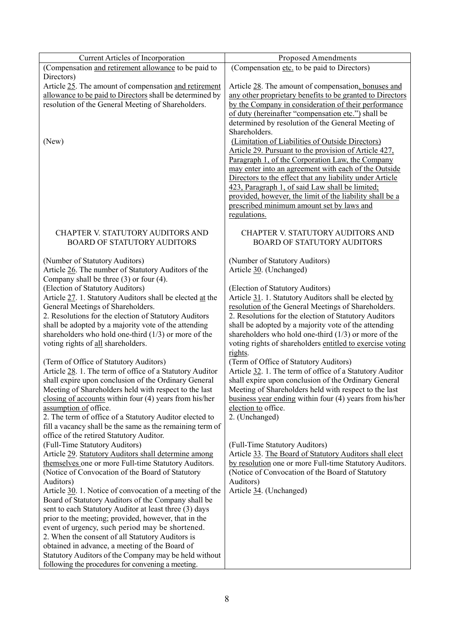| Current Articles of Incorporation                         | <b>Proposed Amendments</b>                                |
|-----------------------------------------------------------|-----------------------------------------------------------|
| (Compensation and retirement allowance to be paid to      | (Compensation etc. to be paid to Directors)               |
| Directors)                                                |                                                           |
| Article 25. The amount of compensation and retirement     | Article 28. The amount of compensation, bonuses and       |
| allowance to be paid to Directors shall be determined by  | any other proprietary benefits to be granted to Directors |
| resolution of the General Meeting of Shareholders.        | by the Company in consideration of their performance      |
|                                                           | of duty (hereinafter "compensation etc.") shall be        |
|                                                           | determined by resolution of the General Meeting of        |
|                                                           | Shareholders.                                             |
|                                                           |                                                           |
| (New)                                                     | (Limitation of Liabilities of Outside Directors)          |
|                                                           | Article 29. Pursuant to the provision of Article 427,     |
|                                                           | Paragraph 1, of the Corporation Law, the Company          |
|                                                           | may enter into an agreement with each of the Outside      |
|                                                           | Directors to the effect that any liability under Article  |
|                                                           | 423, Paragraph 1, of said Law shall be limited;           |
|                                                           | provided, however, the limit of the liability shall be a  |
|                                                           | prescribed minimum amount set by laws and                 |
|                                                           | regulations.                                              |
|                                                           |                                                           |
| CHAPTER V. STATUTORY AUDITORS AND                         | CHAPTER V. STATUTORY AUDITORS AND                         |
| <b>BOARD OF STATUTORY AUDITORS</b>                        | <b>BOARD OF STATUTORY AUDITORS</b>                        |
|                                                           |                                                           |
| (Number of Statutory Auditors)                            | (Number of Statutory Auditors)                            |
| Article 26. The number of Statutory Auditors of the       | Article 30. (Unchanged)                                   |
| Company shall be three $(3)$ or four $(4)$ .              |                                                           |
| (Election of Statutory Auditors)                          | (Election of Statutory Auditors)                          |
| Article 27. 1. Statutory Auditors shall be elected at the | Article 31. 1. Statutory Auditors shall be elected by     |
| General Meetings of Shareholders.                         | resolution of the General Meetings of Shareholders.       |
| 2. Resolutions for the election of Statutory Auditors     | 2. Resolutions for the election of Statutory Auditors     |
| shall be adopted by a majority vote of the attending      | shall be adopted by a majority vote of the attending      |
| shareholders who hold one-third $(1/3)$ or more of the    | shareholders who hold one-third $(1/3)$ or more of the    |
| voting rights of all shareholders.                        | voting rights of shareholders entitled to exercise voting |
|                                                           | rights.                                                   |
| (Term of Office of Statutory Auditors)                    | (Term of Office of Statutory Auditors)                    |
| Article 28. 1. The term of office of a Statutory Auditor  | Article 32. 1. The term of office of a Statutory Auditor  |
| shall expire upon conclusion of the Ordinary General      | shall expire upon conclusion of the Ordinary General      |
| Meeting of Shareholders held with respect to the last     | Meeting of Shareholders held with respect to the last     |
| closing of accounts within four (4) years from his/her    | business year ending within four (4) years from his/her   |
| assumption of office.                                     | election to office.                                       |
| 2. The term of office of a Statutory Auditor elected to   | 2. (Unchanged)                                            |
| fill a vacancy shall be the same as the remaining term of |                                                           |
| office of the retired Statutory Auditor.                  |                                                           |
| (Full-Time Statutory Auditors)                            | (Full-Time Statutory Auditors)                            |
| Article 29. Statutory Auditors shall determine among      | Article 33. The Board of Statutory Auditors shall elect   |
| themselves one or more Full-time Statutory Auditors.      | by resolution one or more Full-time Statutory Auditors.   |
| (Notice of Convocation of the Board of Statutory          | (Notice of Convocation of the Board of Statutory          |
| Auditors)                                                 | Auditors)                                                 |
| Article 30. 1. Notice of convocation of a meeting of the  | Article 34. (Unchanged)                                   |
| Board of Statutory Auditors of the Company shall be       |                                                           |
| sent to each Statutory Auditor at least three (3) days    |                                                           |
| prior to the meeting; provided, however, that in the      |                                                           |
| event of urgency, such period may be shortened.           |                                                           |
| 2. When the consent of all Statutory Auditors is          |                                                           |
| obtained in advance, a meeting of the Board of            |                                                           |
|                                                           |                                                           |
| Statutory Auditors of the Company may be held without     |                                                           |
| following the procedures for convening a meeting.         |                                                           |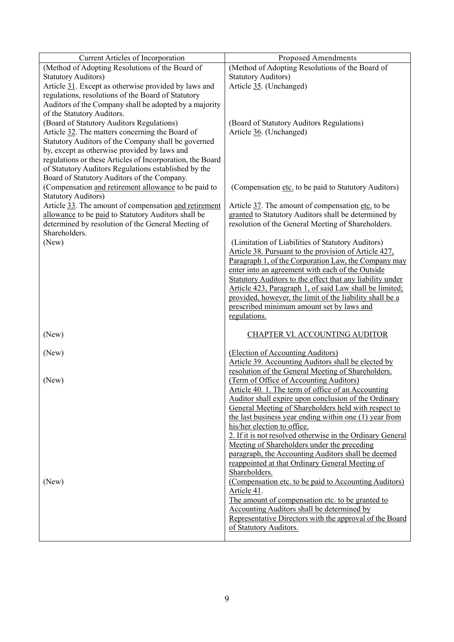| <b>Current Articles of Incorporation</b>                  | <b>Proposed Amendments</b>                                 |
|-----------------------------------------------------------|------------------------------------------------------------|
| (Method of Adopting Resolutions of the Board of           | (Method of Adopting Resolutions of the Board of            |
| <b>Statutory Auditors)</b>                                | <b>Statutory Auditors)</b>                                 |
| Article 31. Except as otherwise provided by laws and      | Article 35. (Unchanged)                                    |
| regulations, resolutions of the Board of Statutory        |                                                            |
| Auditors of the Company shall be adopted by a majority    |                                                            |
| of the Statutory Auditors.                                |                                                            |
| (Board of Statutory Auditors Regulations)                 | (Board of Statutory Auditors Regulations)                  |
| Article 32. The matters concerning the Board of           | Article 36. (Unchanged)                                    |
| Statutory Auditors of the Company shall be governed       |                                                            |
| by, except as otherwise provided by laws and              |                                                            |
| regulations or these Articles of Incorporation, the Board |                                                            |
| of Statutory Auditors Regulations established by the      |                                                            |
|                                                           |                                                            |
| Board of Statutory Auditors of the Company.               |                                                            |
| (Compensation and retirement allowance to be paid to      | (Compensation etc. to be paid to Statutory Auditors)       |
| <b>Statutory Auditors)</b>                                |                                                            |
| Article 33. The amount of compensation and retirement     | Article 37. The amount of compensation etc. to be          |
| allowance to be paid to Statutory Auditors shall be       | granted to Statutory Auditors shall be determined by       |
| determined by resolution of the General Meeting of        | resolution of the General Meeting of Shareholders.         |
| Shareholders.                                             |                                                            |
| (New)                                                     | (Limitation of Liabilities of Statutory Auditors)          |
|                                                           | Article 38. Pursuant to the provision of Article 427,      |
|                                                           | Paragraph 1, of the Corporation Law, the Company may       |
|                                                           | enter into an agreement with each of the Outside           |
|                                                           | Statutory Auditors to the effect that any liability under  |
|                                                           | Article 423, Paragraph 1, of said Law shall be limited;    |
|                                                           | provided, however, the limit of the liability shall be a   |
|                                                           | prescribed minimum amount set by laws and                  |
|                                                           | regulations.                                               |
|                                                           |                                                            |
| (New)                                                     | CHAPTER VI. ACCOUNTING AUDITOR                             |
|                                                           |                                                            |
| (New)                                                     | (Election of Accounting Auditors)                          |
|                                                           | Article 39. Accounting Auditors shall be elected by        |
|                                                           | resolution of the General Meeting of Shareholders.         |
| (New)                                                     | (Term of Office of Accounting Auditors)                    |
|                                                           | Article 40. 1. The term of office of an Accounting         |
|                                                           | Auditor shall expire upon conclusion of the Ordinary       |
|                                                           | General Meeting of Shareholders held with respect to       |
|                                                           | the last business year ending within one (1) year from     |
|                                                           | his/her election to office.                                |
|                                                           | 2. If it is not resolved otherwise in the Ordinary General |
|                                                           | Meeting of Shareholders under the preceding                |
|                                                           | paragraph, the Accounting Auditors shall be deemed         |
|                                                           | reappointed at that Ordinary General Meeting of            |
|                                                           | Shareholders.                                              |
| (New)                                                     | (Compensation etc. to be paid to Accounting Auditors)      |
|                                                           | Article 41.                                                |
|                                                           | The amount of compensation etc. to be granted to           |
|                                                           | Accounting Auditors shall be determined by                 |
|                                                           | Representative Directors with the approval of the Board    |
|                                                           | of Statutory Auditors.                                     |
|                                                           |                                                            |
|                                                           |                                                            |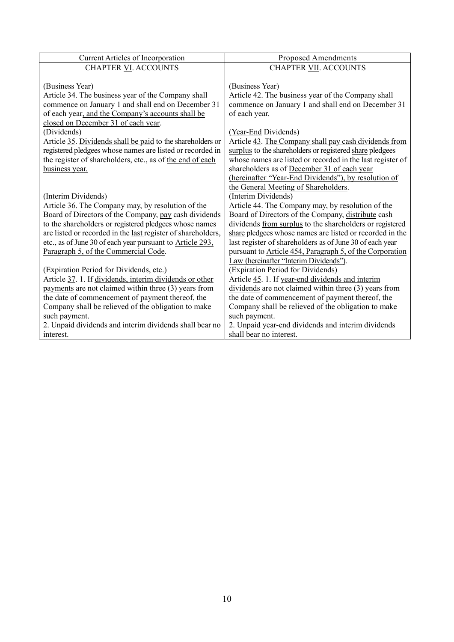| <b>Current Articles of Incorporation</b>                          | <b>Proposed Amendments</b>                                 |
|-------------------------------------------------------------------|------------------------------------------------------------|
| <b>CHAPTER VI. ACCOUNTS</b>                                       | <b>CHAPTER VII. ACCOUNTS</b>                               |
|                                                                   |                                                            |
| (Business Year)                                                   | (Business Year)                                            |
| Article 34. The business year of the Company shall                | Article 42. The business year of the Company shall         |
| commence on January 1 and shall end on December 31                | commence on January 1 and shall end on December 31         |
| of each year, and the Company's accounts shall be                 | of each year.                                              |
| closed on December 31 of each year.                               |                                                            |
| (Dividends)                                                       | (Year-End Dividends)                                       |
| Article 35. Dividends shall be paid to the shareholders or        | Article 43. The Company shall pay cash dividends from      |
| registered pledgees whose names are listed or recorded in         | surplus to the shareholders or registered share pledgees   |
| the register of shareholders, etc., as of the end of each         | whose names are listed or recorded in the last register of |
| business year.                                                    | shareholders as of December 31 of each year                |
|                                                                   | (hereinafter "Year-End Dividends"), by resolution of       |
|                                                                   | the General Meeting of Shareholders.                       |
| (Interim Dividends)                                               | (Interim Dividends)                                        |
| Article 36. The Company may, by resolution of the                 | Article 44. The Company may, by resolution of the          |
| Board of Directors of the Company, pay cash dividends             | Board of Directors of the Company, distribute cash         |
| to the shareholders or registered pledgees whose names            | dividends from surplus to the shareholders or registered   |
| are listed or recorded in the last register of shareholders,      | share pledgees whose names are listed or recorded in the   |
| etc., as of June 30 of each year pursuant to <b>Article 293</b> , | last register of shareholders as of June 30 of each year   |
| Paragraph 5, of the Commercial Code.                              | pursuant to Article 454, Paragraph 5, of the Corporation   |
|                                                                   | Law (hereinafter "Interim Dividends").                     |
| (Expiration Period for Dividends, etc.)                           | (Expiration Period for Dividends)                          |
| Article 37. 1. If dividends, interim dividends or other           | Article 45. 1. If year-end dividends and interim           |
| payments are not claimed within three (3) years from              | dividends are not claimed within three (3) years from      |
| the date of commencement of payment thereof, the                  | the date of commencement of payment thereof, the           |
| Company shall be relieved of the obligation to make               | Company shall be relieved of the obligation to make        |
| such payment.                                                     | such payment.                                              |
| 2. Unpaid dividends and interim dividends shall bear no           | 2. Unpaid year-end dividends and interim dividends         |
| interest.                                                         | shall bear no interest.                                    |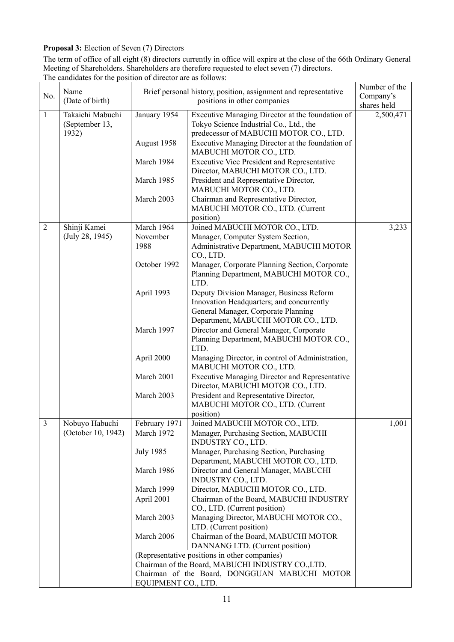# **Proposal 3:** Election of Seven (7) Directors

The term of office of all eight (8) directors currently in office will expire at the close of the 66th Ordinary General Meeting of Shareholders. Shareholders are therefore requested to elect seven (7) directors. The candidates for the position of director are as follows:

| No.            | Name<br>(Date of birth)                     | Brief personal history, position, assignment and representative<br>positions in other companies    |                                                                                                                                                                     | Number of the<br>Company's<br>shares held |
|----------------|---------------------------------------------|----------------------------------------------------------------------------------------------------|---------------------------------------------------------------------------------------------------------------------------------------------------------------------|-------------------------------------------|
| $\mathbf{1}$   | Takaichi Mabuchi<br>(September 13,<br>1932) | January 1954                                                                                       | Executive Managing Director at the foundation of<br>Tokyo Science Industrial Co., Ltd., the<br>predecessor of MABUCHI MOTOR CO., LTD.                               | 2,500,471                                 |
|                |                                             | August 1958                                                                                        | Executive Managing Director at the foundation of<br>MABUCHI MOTOR CO., LTD.                                                                                         |                                           |
|                |                                             | March 1984                                                                                         | <b>Executive Vice President and Representative</b><br>Director, MABUCHI MOTOR CO., LTD.                                                                             |                                           |
|                |                                             | March 1985                                                                                         | President and Representative Director,<br>MABUCHI MOTOR CO., LTD.                                                                                                   |                                           |
|                |                                             | March 2003                                                                                         | Chairman and Representative Director,<br>MABUCHI MOTOR CO., LTD. (Current<br>position)                                                                              |                                           |
| $\overline{2}$ | Shinji Kamei                                | March 1964                                                                                         | Joined MABUCHI MOTOR CO., LTD.                                                                                                                                      | 3,233                                     |
|                | (July 28, 1945)                             | November                                                                                           | Manager, Computer System Section,                                                                                                                                   |                                           |
|                |                                             | 1988                                                                                               | Administrative Department, MABUCHI MOTOR<br>CO., LTD.                                                                                                               |                                           |
|                |                                             | October 1992                                                                                       | Manager, Corporate Planning Section, Corporate<br>Planning Department, MABUCHI MOTOR CO.,<br>LTD.                                                                   |                                           |
|                |                                             | April 1993                                                                                         | Deputy Division Manager, Business Reform<br>Innovation Headquarters; and concurrently<br>General Manager, Corporate Planning<br>Department, MABUCHI MOTOR CO., LTD. |                                           |
|                |                                             | March 1997                                                                                         | Director and General Manager, Corporate<br>Planning Department, MABUCHI MOTOR CO.,<br>LTD.                                                                          |                                           |
|                |                                             | April 2000                                                                                         | Managing Director, in control of Administration,<br>MABUCHI MOTOR CO., LTD.                                                                                         |                                           |
|                |                                             | March 2001                                                                                         | <b>Executive Managing Director and Representative</b><br>Director, MABUCHI MOTOR CO., LTD.                                                                          |                                           |
|                |                                             | March 2003                                                                                         | President and Representative Director,<br>MABUCHI MOTOR CO., LTD. (Current<br>position)                                                                             |                                           |
| $\mathfrak{Z}$ | Nobuyo Habuchi<br>(October 10, 1942)        | February 1971<br>March 1972                                                                        | Joined MABUCHI MOTOR CO., LTD.<br>Manager, Purchasing Section, MABUCHI<br>INDUSTRY CO., LTD.                                                                        | 1,001                                     |
|                |                                             | <b>July 1985</b>                                                                                   | Manager, Purchasing Section, Purchasing<br>Department, MABUCHI MOTOR CO., LTD.                                                                                      |                                           |
|                |                                             | March 1986                                                                                         | Director and General Manager, MABUCHI<br>INDUSTRY CO., LTD.                                                                                                         |                                           |
|                |                                             | March 1999                                                                                         | Director, MABUCHI MOTOR CO., LTD.                                                                                                                                   |                                           |
|                |                                             | April 2001                                                                                         | Chairman of the Board, MABUCHI INDUSTRY<br>CO., LTD. (Current position)                                                                                             |                                           |
|                |                                             | March 2003                                                                                         | Managing Director, MABUCHI MOTOR CO.,<br>LTD. (Current position)                                                                                                    |                                           |
|                |                                             | March 2006                                                                                         | Chairman of the Board, MABUCHI MOTOR<br>DANNANG LTD. (Current position)                                                                                             |                                           |
|                |                                             | (Representative positions in other companies)<br>Chairman of the Board, MABUCHI INDUSTRY CO., LTD. |                                                                                                                                                                     |                                           |
|                |                                             |                                                                                                    |                                                                                                                                                                     |                                           |
|                |                                             | Chairman of the Board, DONGGUAN MABUCHI MOTOR                                                      |                                                                                                                                                                     |                                           |
|                |                                             | EQUIPMENT CO., LTD.                                                                                |                                                                                                                                                                     |                                           |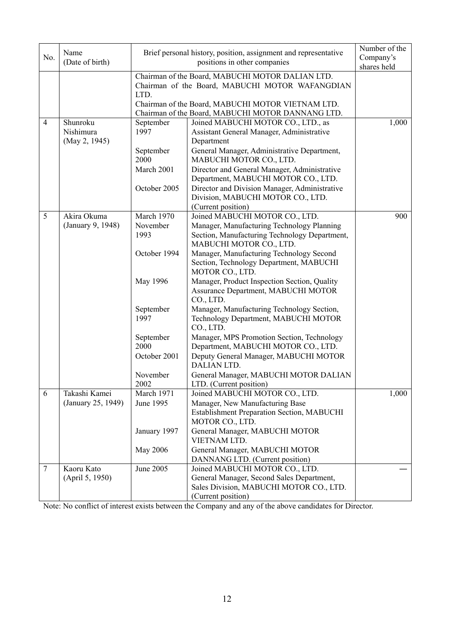| No.             | Name                                   | Brief personal history, position, assignment and representative                                                                                                  | Number of the<br>Company's                                                                                                                                                                                                                                         |       |
|-----------------|----------------------------------------|------------------------------------------------------------------------------------------------------------------------------------------------------------------|--------------------------------------------------------------------------------------------------------------------------------------------------------------------------------------------------------------------------------------------------------------------|-------|
|                 | (Date of birth)                        |                                                                                                                                                                  | shares held                                                                                                                                                                                                                                                        |       |
|                 |                                        | Chairman of the Board, MABUCHI MOTOR DALIAN LTD.<br>Chairman of the Board, MABUCHI MOTOR WAFANGDIAN<br>LTD.<br>Chairman of the Board, MABUCHI MOTOR VIETNAM LTD. |                                                                                                                                                                                                                                                                    |       |
|                 |                                        | Chairman of the Board, MABUCHI MOTOR DANNANG LTD.                                                                                                                |                                                                                                                                                                                                                                                                    |       |
| $\overline{4}$  | Shunroku<br>Nishimura<br>(May 2, 1945) | September<br>1997                                                                                                                                                | Joined MABUCHI MOTOR CO., LTD., as<br>Assistant General Manager, Administrative<br>Department                                                                                                                                                                      | 1,000 |
|                 |                                        | September<br>2000<br>March 2001                                                                                                                                  | General Manager, Administrative Department,<br>MABUCHI MOTOR CO., LTD.<br>Director and General Manager, Administrative<br>Department, MABUCHI MOTOR CO., LTD.                                                                                                      |       |
|                 |                                        | October 2005                                                                                                                                                     | Director and Division Manager, Administrative<br>Division, MABUCHI MOTOR CO., LTD.<br>(Current position)                                                                                                                                                           |       |
| 5               | Akira Okuma<br>(January 9, 1948)       | March 1970<br>November<br>1993<br>October 1994                                                                                                                   | Joined MABUCHI MOTOR CO., LTD.<br>Manager, Manufacturing Technology Planning<br>Section, Manufacturing Technology Department,<br>MABUCHI MOTOR CO., LTD.<br>Manager, Manufacturing Technology Second<br>Section, Technology Department, MABUCHI<br>MOTOR CO., LTD. | 900   |
|                 |                                        | May 1996                                                                                                                                                         | Manager, Product Inspection Section, Quality<br>Assurance Department, MABUCHI MOTOR<br>CO., LTD.                                                                                                                                                                   |       |
|                 |                                        | September<br>1997                                                                                                                                                | Manager, Manufacturing Technology Section,<br>Technology Department, MABUCHI MOTOR<br>CO., LTD.                                                                                                                                                                    |       |
|                 |                                        | September<br>2000<br>October 2001                                                                                                                                | Manager, MPS Promotion Section, Technology<br>Department, MABUCHI MOTOR CO., LTD.<br>Deputy General Manager, MABUCHI MOTOR                                                                                                                                         |       |
|                 |                                        | November<br>2002                                                                                                                                                 | <b>DALIAN LTD.</b><br>General Manager, MABUCHI MOTOR DALIAN<br>LTD. (Current position)                                                                                                                                                                             |       |
| 6               | Takashi Kamei<br>(January 25, 1949)    | March 1971<br>June 1995                                                                                                                                          | Joined MABUCHI MOTOR CO., LTD.<br>Manager, New Manufacturing Base<br>Establishment Preparation Section, MABUCHI<br>MOTOR CO., LTD.                                                                                                                                 | 1,000 |
|                 |                                        | January 1997<br>May 2006                                                                                                                                         | General Manager, MABUCHI MOTOR<br>VIETNAM LTD.<br>General Manager, MABUCHI MOTOR                                                                                                                                                                                   |       |
| $7\phantom{.0}$ | Kaoru Kato<br>(April 5, 1950)          | June 2005                                                                                                                                                        | DANNANG LTD. (Current position)<br>Joined MABUCHI MOTOR CO., LTD.<br>General Manager, Second Sales Department,<br>Sales Division, MABUCHI MOTOR CO., LTD.<br>(Current position)                                                                                    |       |

Note: No conflict of interest exists between the Company and any of the above candidates for Director.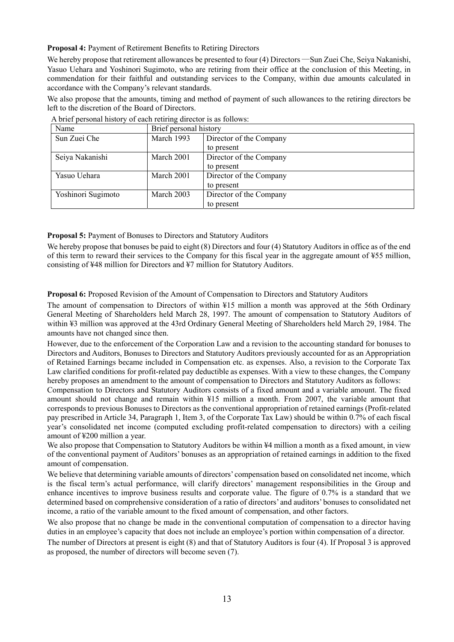**Proposal 4:** Payment of Retirement Benefits to Retiring Directors

We hereby propose that retirement allowances be presented to four (4) Directors —Sun Zuei Che, Seiya Nakanishi, Yasuo Uehara and Yoshinori Sugimoto, who are retiring from their office at the conclusion of this Meeting, in commendation for their faithful and outstanding services to the Company, within due amounts calculated in accordance with the Company's relevant standards.

We also propose that the amounts, timing and method of payment of such allowances to the retiring directors be left to the discretion of the Board of Directors.

| Name               | Brief personal history |                         |
|--------------------|------------------------|-------------------------|
| Sun Zuei Che       | March 1993             | Director of the Company |
|                    |                        | to present              |
| Seiya Nakanishi    | March 2001             | Director of the Company |
|                    |                        | to present              |
| Yasuo Uehara       | March 2001             | Director of the Company |
|                    |                        | to present              |
| Yoshinori Sugimoto | March 2003             | Director of the Company |
|                    |                        | to present              |

|  |  |  |  | A brief personal history of each retiring director is as follows: |
|--|--|--|--|-------------------------------------------------------------------|
|  |  |  |  |                                                                   |

**Proposal 5:** Payment of Bonuses to Directors and Statutory Auditors

We hereby propose that bonuses be paid to eight (8) Directors and four (4) Statutory Auditors in office as of the end of this term to reward their services to the Company for this fiscal year in the aggregate amount of ¥55 million, consisting of ¥48 million for Directors and ¥7 million for Statutory Auditors.

**Proposal 6:** Proposed Revision of the Amount of Compensation to Directors and Statutory Auditors

The amount of compensation to Directors of within ¥15 million a month was approved at the 56th Ordinary General Meeting of Shareholders held March 28, 1997. The amount of compensation to Statutory Auditors of within ¥3 million was approved at the 43rd Ordinary General Meeting of Shareholders held March 29, 1984. The amounts have not changed since then.

However, due to the enforcement of the Corporation Law and a revision to the accounting standard for bonuses to Directors and Auditors, Bonuses to Directors and Statutory Auditors previously accounted for as an Appropriation of Retained Earnings became included in Compensation etc. as expenses. Also, a revision to the Corporate Tax Law clarified conditions for profit-related pay deductible as expenses. With a view to these changes, the Company hereby proposes an amendment to the amount of compensation to Directors and Statutory Auditors as follows:

Compensation to Directors and Statutory Auditors consists of a fixed amount and a variable amount. The fixed amount should not change and remain within ¥15 million a month. From 2007, the variable amount that corresponds to previous Bonuses to Directors as the conventional appropriation of retained earnings (Profit-related pay prescribed in Article 34, Paragraph 1, Item 3, of the Corporate Tax Law) should be within 0.7% of each fiscal year's consolidated net income (computed excluding profit-related compensation to directors) with a ceiling amount of ¥200 million a year.

We also propose that Compensation to Statutory Auditors be within  $\frac{1}{4}$  million a month as a fixed amount, in view of the conventional payment of Auditors' bonuses as an appropriation of retained earnings in addition to the fixed amount of compensation.

We believe that determining variable amounts of directors' compensation based on consolidated net income, which is the fiscal term's actual performance, will clarify directors' management responsibilities in the Group and enhance incentives to improve business results and corporate value. The figure of 0.7% is a standard that we determined based on comprehensive consideration of a ratio of directors' and auditors' bonuses to consolidated net income, a ratio of the variable amount to the fixed amount of compensation, and other factors.

We also propose that no change be made in the conventional computation of compensation to a director having duties in an employee's capacity that does not include an employee's portion within compensation of a director.

The number of Directors at present is eight (8) and that of Statutory Auditors is four (4). If Proposal 3 is approved as proposed, the number of directors will become seven (7).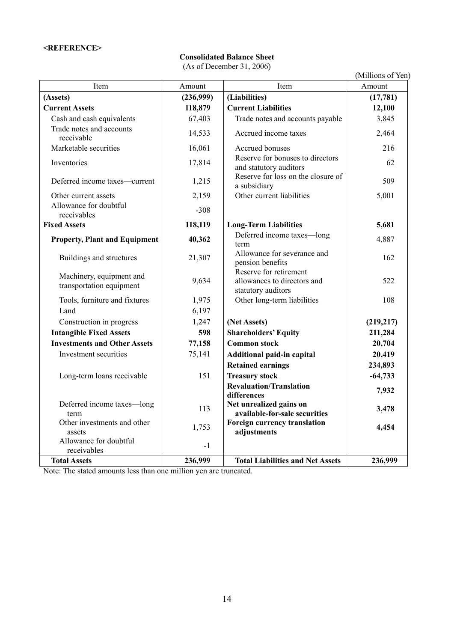# **<REFERENCE>**

# **Consolidated Balance Sheet**

(As of December 31, 2006)

|                                                      |           |                                                                             | (Millions of Yen) |
|------------------------------------------------------|-----------|-----------------------------------------------------------------------------|-------------------|
| Item                                                 | Amount    | Item                                                                        | Amount            |
| (Assets)                                             | (236,999) | (Liabilities)                                                               | (17, 781)         |
| <b>Current Assets</b>                                | 118,879   | <b>Current Liabilities</b>                                                  | 12,100            |
| Cash and cash equivalents                            | 67,403    | Trade notes and accounts payable                                            | 3,845             |
| Trade notes and accounts<br>receivable               | 14,533    | Accrued income taxes                                                        | 2,464             |
| Marketable securities                                | 16,061    | Accrued bonuses                                                             | 216               |
| Inventories                                          | 17,814    | Reserve for bonuses to directors<br>and statutory auditors                  | 62                |
| Deferred income taxes-current                        | 1,215     | Reserve for loss on the closure of<br>a subsidiary                          | 509               |
| Other current assets                                 | 2,159     | Other current liabilities                                                   | 5,001             |
| Allowance for doubtful<br>receivables                | $-308$    |                                                                             |                   |
| <b>Fixed Assets</b>                                  | 118,119   | <b>Long-Term Liabilities</b>                                                | 5,681             |
| <b>Property, Plant and Equipment</b>                 | 40,362    | Deferred income taxes-long<br>term                                          | 4,887             |
| Buildings and structures                             | 21,307    | Allowance for severance and<br>pension benefits                             | 162               |
| Machinery, equipment and<br>transportation equipment | 9,634     | Reserve for retirement<br>allowances to directors and<br>statutory auditors | 522               |
| Tools, furniture and fixtures                        | 1,975     | Other long-term liabilities                                                 | 108               |
| Land                                                 | 6,197     |                                                                             |                   |
| Construction in progress                             | 1,247     | (Net Assets)                                                                | (219,217)         |
| <b>Intangible Fixed Assets</b>                       | 598       | <b>Shareholders' Equity</b>                                                 | 211,284           |
| <b>Investments and Other Assets</b>                  | 77,158    | <b>Common stock</b>                                                         | 20,704            |
| Investment securities                                | 75,141    | Additional paid-in capital                                                  | 20,419            |
|                                                      |           | <b>Retained earnings</b>                                                    | 234,893           |
| Long-term loans receivable                           | 151       | <b>Treasury stock</b>                                                       | $-64,733$         |
|                                                      |           | <b>Revaluation/Translation</b><br>differences                               | 7,932             |
| Deferred income taxes-long<br>term                   | 113       | Net unrealized gains on<br>available-for-sale securities                    | 3,478             |
| Other investments and other<br>assets                | 1,753     | Foreign currency translation<br>adjustments                                 | 4,454             |
| Allowance for doubtful<br>receivables                | $-1$      |                                                                             |                   |
| <b>Total Assets</b>                                  | 236,999   | <b>Total Liabilities and Net Assets</b>                                     | 236,999           |

Note: The stated amounts less than one million yen are truncated.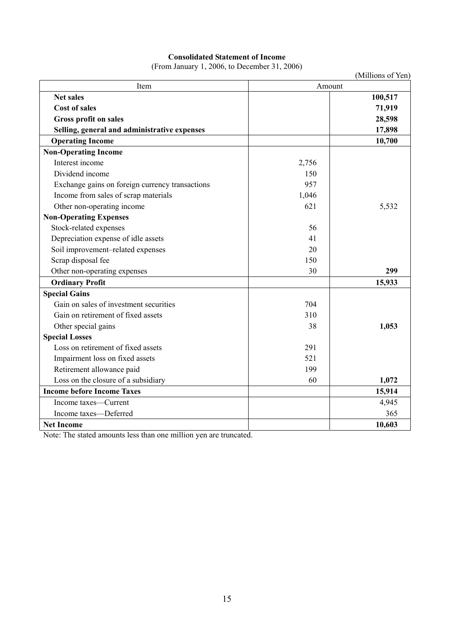# **Consolidated Statement of Income**

(From January 1, 2006, to December 31, 2006)

|                                                 |        | (Millions of Yen) |
|-------------------------------------------------|--------|-------------------|
| Item                                            | Amount |                   |
| <b>Net sales</b>                                |        | 100,517           |
| <b>Cost of sales</b>                            |        | 71,919            |
| <b>Gross profit on sales</b>                    |        | 28,598            |
| Selling, general and administrative expenses    |        | 17,898            |
| <b>Operating Income</b>                         |        | 10,700            |
| <b>Non-Operating Income</b>                     |        |                   |
| Interest income                                 | 2,756  |                   |
| Dividend income                                 | 150    |                   |
| Exchange gains on foreign currency transactions | 957    |                   |
| Income from sales of scrap materials            | 1,046  |                   |
| Other non-operating income                      | 621    | 5,532             |
| <b>Non-Operating Expenses</b>                   |        |                   |
| Stock-related expenses                          | 56     |                   |
| Depreciation expense of idle assets             | 41     |                   |
| Soil improvement-related expenses               | 20     |                   |
| Scrap disposal fee                              | 150    |                   |
| Other non-operating expenses                    | 30     | 299               |
| <b>Ordinary Profit</b>                          |        | 15,933            |
| <b>Special Gains</b>                            |        |                   |
| Gain on sales of investment securities          | 704    |                   |
| Gain on retirement of fixed assets              | 310    |                   |
| Other special gains                             | 38     | 1,053             |
| <b>Special Losses</b>                           |        |                   |
| Loss on retirement of fixed assets              | 291    |                   |
| Impairment loss on fixed assets                 | 521    |                   |
| Retirement allowance paid                       | 199    |                   |
| Loss on the closure of a subsidiary             | 60     | 1,072             |
| <b>Income before Income Taxes</b>               |        | 15,914            |
| Income taxes-Current                            |        | 4,945             |
| Income taxes-Deferred                           |        | 365               |
| <b>Net Income</b>                               |        | 10,603            |

Note: The stated amounts less than one million yen are truncated.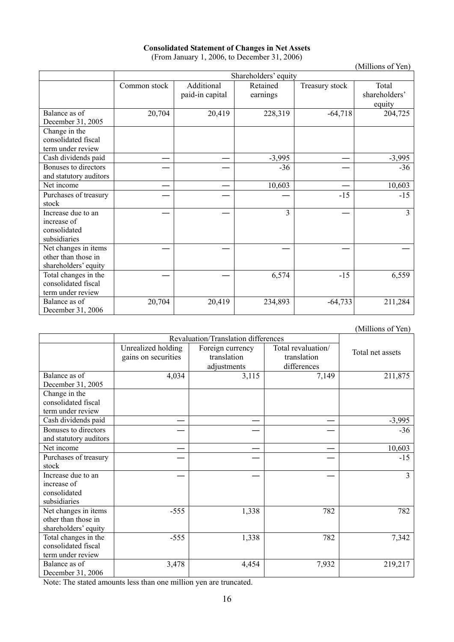| <b>Consolidated Statement of Changes in Net Assets</b> |
|--------------------------------------------------------|
| (From January 1, 2006, to December 31, 2006)           |

|                                                                     |                      |                               |                      |                | (Millions of Yen)                |
|---------------------------------------------------------------------|----------------------|-------------------------------|----------------------|----------------|----------------------------------|
|                                                                     | Shareholders' equity |                               |                      |                |                                  |
|                                                                     | Common stock         | Additional<br>paid-in capital | Retained<br>earnings | Treasury stock | Total<br>shareholders'<br>equity |
| Balance as of<br>December 31, 2005                                  | 20,704               | 20,419                        | 228,319              | $-64,718$      | 204,725                          |
| Change in the<br>consolidated fiscal<br>term under review           |                      |                               |                      |                |                                  |
| Cash dividends paid                                                 |                      |                               | $-3,995$             |                | $-3,995$                         |
| Bonuses to directors<br>and statutory auditors                      |                      |                               | $-36$                |                | $-36$                            |
| Net income                                                          |                      |                               | 10,603               |                | 10,603                           |
| Purchases of treasury<br>stock                                      |                      |                               |                      | $-15$          | $-15$                            |
| Increase due to an<br>increase of<br>consolidated<br>subsidiaries   |                      |                               | 3                    |                | 3                                |
| Net changes in items<br>other than those in<br>shareholders' equity |                      |                               |                      |                |                                  |
| Total changes in the<br>consolidated fiscal<br>term under review    |                      |                               | 6,574                | $-15$          | 6,559                            |
| Balance as of<br>December 31, 2006                                  | 20,704               | 20,419                        | 234,893              | $-64,733$      | 211,284                          |

(From January 1, 2006, to December 31, 2006)

(Millions of Yen)

|                                                                     | Revaluation/Translation differences       |                                                |                                                  |                  |
|---------------------------------------------------------------------|-------------------------------------------|------------------------------------------------|--------------------------------------------------|------------------|
|                                                                     | Unrealized holding<br>gains on securities | Foreign currency<br>translation<br>adjustments | Total revaluation/<br>translation<br>differences | Total net assets |
| Balance as of                                                       | 4,034                                     | 3,115                                          | 7,149                                            | 211,875          |
| December 31, 2005<br>Change in the                                  |                                           |                                                |                                                  |                  |
| consolidated fiscal                                                 |                                           |                                                |                                                  |                  |
| term under review                                                   |                                           |                                                |                                                  |                  |
| Cash dividends paid                                                 |                                           |                                                |                                                  | $-3,995$         |
| Bonuses to directors                                                |                                           |                                                |                                                  | $-36$            |
| and statutory auditors                                              |                                           |                                                |                                                  |                  |
| Net income                                                          |                                           |                                                |                                                  | 10,603           |
| Purchases of treasury<br>stock                                      |                                           |                                                |                                                  | $-15$            |
| Increase due to an<br>increase of<br>consolidated<br>subsidiaries   |                                           |                                                |                                                  | 3                |
| Net changes in items<br>other than those in<br>shareholders' equity | $-555$                                    | 1,338                                          | 782                                              | 782              |
| Total changes in the<br>consolidated fiscal<br>term under review    | $-555$                                    | 1,338                                          | 782                                              | 7,342            |
| Balance as of<br>December 31, 2006                                  | 3,478                                     | 4,454                                          | 7,932                                            | 219,217          |

Note: The stated amounts less than one million yen are truncated.